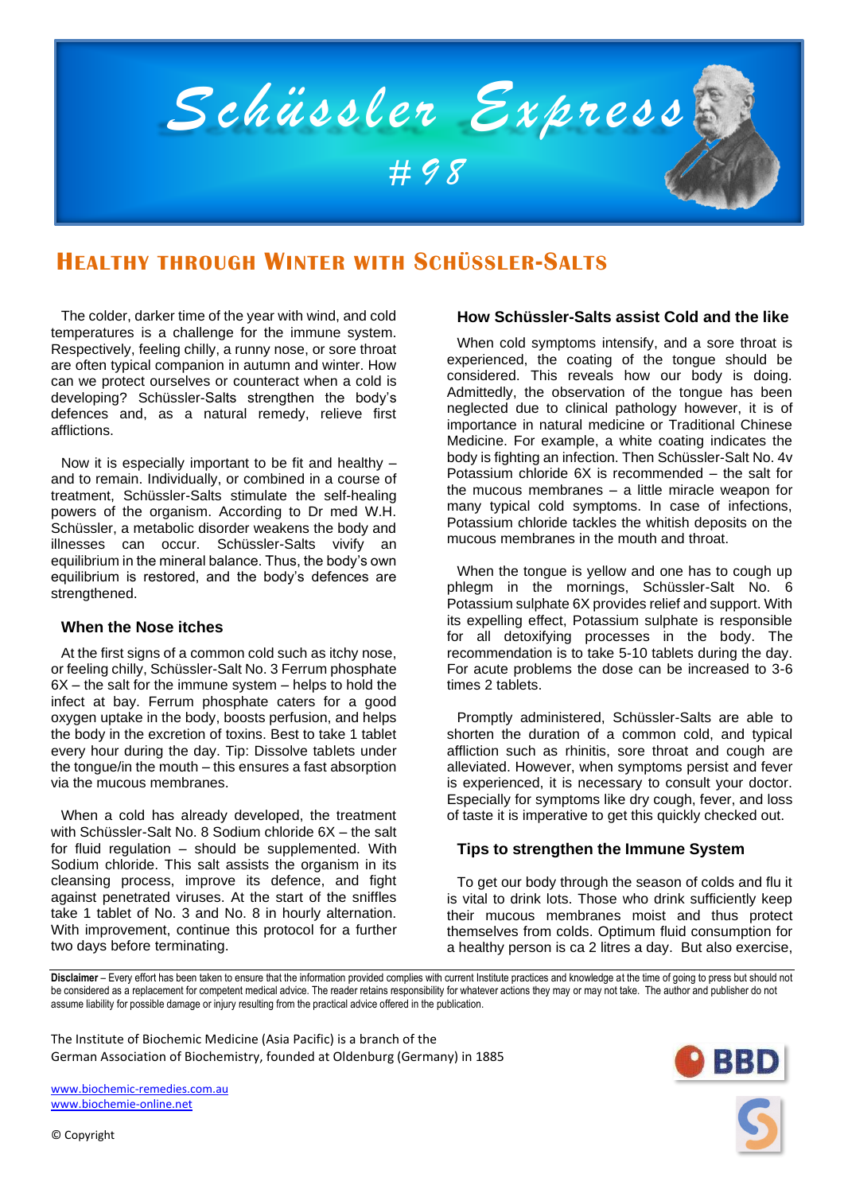

# **HEALTHY THROUGH WINTER WITH SCHÜSSLER-SALTS**

The colder, darker time of the year with wind, and cold temperatures is a challenge for the immune system. Respectively, feeling chilly, a runny nose, or sore throat are often typical companion in autumn and winter. How can we protect ourselves or counteract when a cold is developing? Schüssler-Salts strengthen the body's defences and, as a natural remedy, relieve first afflictions.

Now it is especially important to be fit and healthy – and to remain. Individually, or combined in a course of treatment, Schüssler-Salts stimulate the self-healing powers of the organism. According to Dr med W.H. Schüssler, a metabolic disorder weakens the body and illnesses can occur. Schüssler-Salts vivify an equilibrium in the mineral balance. Thus, the body's own equilibrium is restored, and the body's defences are strengthened.

## **When the Nose itches**

At the first signs of a common cold such as itchy nose, or feeling chilly, Schüssler-Salt No. 3 Ferrum phosphate  $6X$  – the salt for the immune system – helps to hold the infect at bay. Ferrum phosphate caters for a good oxygen uptake in the body, boosts perfusion, and helps the body in the excretion of toxins. Best to take 1 tablet every hour during the day. Tip: Dissolve tablets under the tongue/in the mouth – this ensures a fast absorption via the mucous membranes.

When a cold has already developed, the treatment with Schüssler-Salt No. 8 Sodium chloride 6X – the salt for fluid regulation – should be supplemented. With Sodium chloride. This salt assists the organism in its cleansing process, improve its defence, and fight against penetrated viruses. At the start of the sniffles take 1 tablet of No. 3 and No. 8 in hourly alternation. With improvement, continue this protocol for a further two days before terminating.

# **How Schüssler-Salts assist Cold and the like**

When cold symptoms intensify, and a sore throat is experienced, the coating of the tongue should be considered. This reveals how our body is doing. Admittedly, the observation of the tongue has been neglected due to clinical pathology however, it is of importance in natural medicine or Traditional Chinese Medicine. For example, a white coating indicates the body is fighting an infection. Then Schüssler-Salt No. 4v Potassium chloride 6X is recommended – the salt for the mucous membranes – a little miracle weapon for many typical cold symptoms. In case of infections, Potassium chloride tackles the whitish deposits on the mucous membranes in the mouth and throat.

When the tongue is yellow and one has to cough up phlegm in the mornings, Schüssler-Salt No. 6 Potassium sulphate 6X provides relief and support. With its expelling effect, Potassium sulphate is responsible for all detoxifying processes in the body. The recommendation is to take 5-10 tablets during the day. For acute problems the dose can be increased to 3-6 times 2 tablets.

Promptly administered, Schüssler-Salts are able to shorten the duration of a common cold, and typical affliction such as rhinitis, sore throat and cough are alleviated. However, when symptoms persist and fever is experienced, it is necessary to consult your doctor. Especially for symptoms like dry cough, fever, and loss of taste it is imperative to get this quickly checked out.

## **Tips to strengthen the Immune System**

To get our body through the season of colds and flu it is vital to drink lots. Those who drink sufficiently keep their mucous membranes moist and thus protect themselves from colds. Optimum fluid consumption for a healthy person is ca 2 litres a day. But also exercise,

**Disclaimer** – Every effort has been taken to ensure that the information provided complies with current Institute practices and knowledge at the time of going to press but should not be considered as a replacement for competent medical advice. The reader retains responsibility for whatever actions they may or may not take. The author and publisher do not assume liability for possible damage or injury resulting from the practical advice offered in the publication.

The Institute of Biochemic Medicine (Asia Pacific) is a branch of the German Association of Biochemistry, founded at Oldenburg (Germany) in 1885

[www.biochemic-remedies.com.au](http://www.biochemic-remedies.com.au/) [www.biochemie-online.net](http://www.biochemie-online.net/)